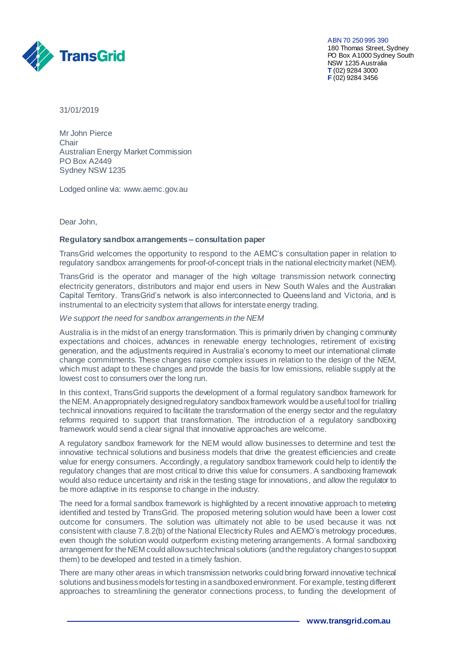

ABN 70 250 995 390 180 Thomas Street, Sydney PO Box A1000 Sydney South NSW 1235 Australia **T** (02) 9284 3000 **F** (02) 9284 3456

31/01/2019

Mr John Pierce Chair Australian Energy Market Commission PO Box A2449 Sydney NSW 1235

Lodged online via: [www.aemc.gov.au](http://www.aemc.gov.au/) 

Dear John,

## **Regulatory sandbox arrangements – consultation paper**

TransGrid welcomes the opportunity to respond to the AEMC's consultation paper in relation to regulatory sandbox arrangements for proof-of-concept trials in the national electricity market (NEM).

TransGrid is the operator and manager of the high voltage transmission network connecting electricity generators, distributors and major end users in New South Wales and the Australian Capital Territory. TransGrid's network is also interconnected to Queensland and Victoria, and is instrumental to an electricity system that allows for interstate energy trading.

*We support the need for sandbox arrangements in the NEM*

Australia is in the midst of an energy transformation. This is primarily driven by changing community expectations and choices, advances in renewable energy technologies, retirement of existing generation, and the adjustments required in Australia's economy to meet our international climate change commitments. These changes raise complex issues in relation to the design of the NEM, which must adapt to these changes and provide the basis for low emissions, reliable supply at the lowest cost to consumers over the long run.

In this context, TransGrid supports the development of a formal regulatory sandbox framework for the NEM. An appropriately designed regulatory sandbox framework would be a useful tool for trialling technical innovations required to facilitate the transformation of the energy sector and the regulatory reforms required to support that transformation. The introduction of a regulatory sandboxing framework would send a clear signal that innovative approaches are welcome.

A regulatory sandbox framework for the NEM would allow businesses to determine and test the innovative technical solutions and business models that drive the greatest efficiencies and create value for energy consumers. Accordingly, a regulatory sandbox framework could help to identify the regulatory changes that are most critical to drive this value for consumers. A sandboxing framework would also reduce uncertainty and risk in the testing stage for innovations, and allow the regulator to be more adaptive in its response to change in the industry.

The need for a formal sandbox framework is highlighted by a recent innovative approach to metering identified and tested by TransGrid. The proposed metering solution would have been a lower cost outcome for consumers. The solution was ultimately not able to be used because it was not consistent with clause 7.8.2(b) of the National Electricity Rules and AEMO's metrology procedures, even though the solution would outperform existing metering arrangements. A formal sandboxing arrangement for the NEM could allow such technical solutions (and the regulatory changes to support them) to be developed and tested in a timely fashion.

There are many other areas in which transmission networks could bring forward innovative technical solutions and business models for testing in a sandboxed environment. For example, testing different approaches to streamlining the generator connections process, to funding the development of